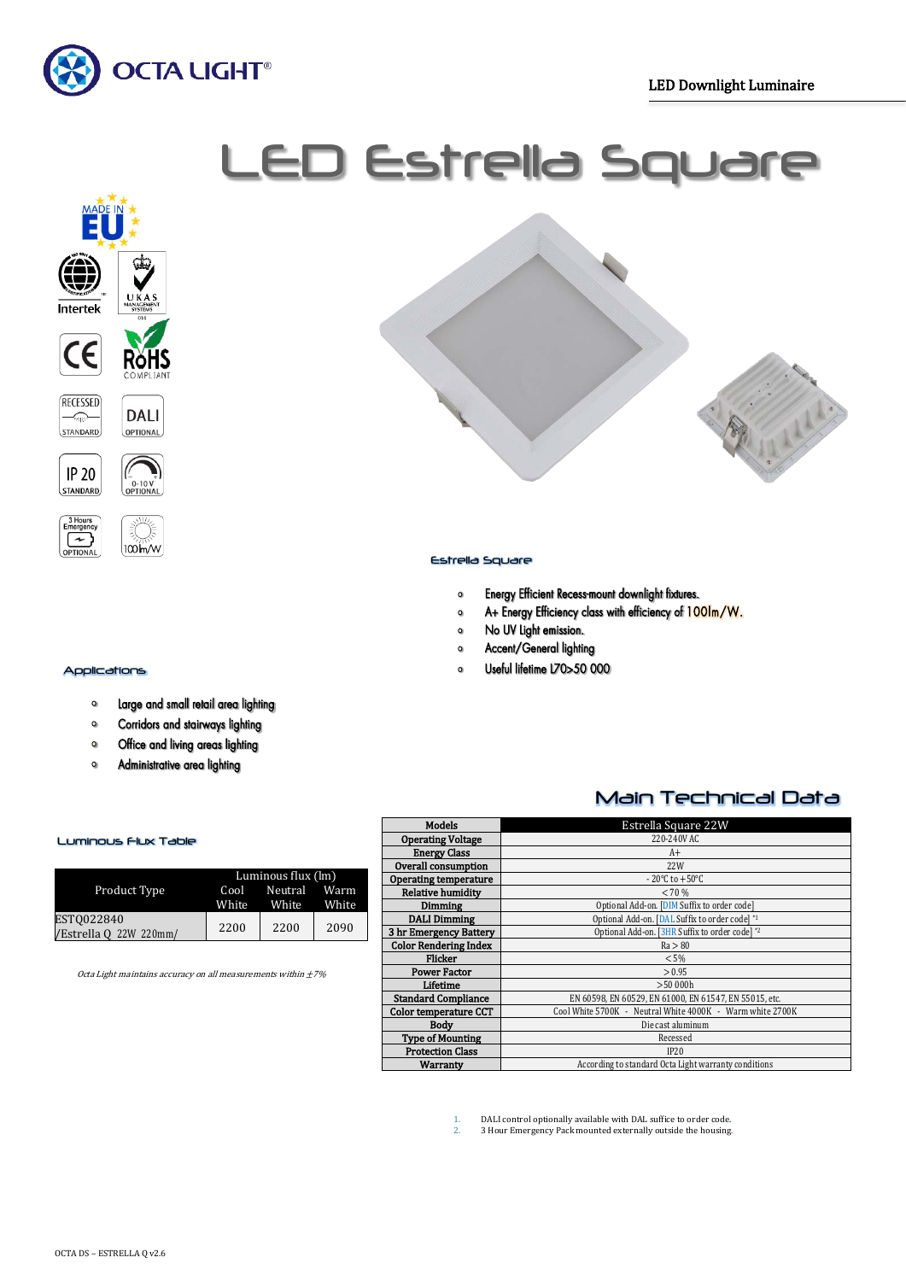

# LED Estrella Square







### Applications

- Large and small retail area lighting  $\bullet$
- $\bullet$ Corridors and stairways lighting
- Office and living areas lighting  $\bullet$
- $\bullet$ Administrative area lighting



## Estrella Square

- Energy Efficient Recess-mount downlight fixtures.  $\bullet$
- A+ Energy Efficiency class with efficiency of 100lm/W.  $\circ$
- No UV Light emission.  $\bullet$
- Accent/General lighting  $\circ$
- Useful lifetime L70>50 000  $\sim$

## Main Technical Data

| <b>Models</b>                | Estrella Square 22W                                       |
|------------------------------|-----------------------------------------------------------|
| <b>Operating Voltage</b>     | 220-240V AC                                               |
| <b>Energy Class</b>          | $A+$                                                      |
| Overall consumption          | 22W                                                       |
| <b>Operating temperature</b> | $-20^{\circ}$ C to $+50^{\circ}$ C                        |
| <b>Relative humidity</b>     | < 70%                                                     |
| Dimming                      | Optional Add-on. [DIM Suffix to order code]               |
| <b>DALI Dimming</b>          | Optional Add-on. [DAL Suffix to order code] *1            |
| 3 hr Emergency Battery       | Optional Add-on. [3HR Suffix to order code] *2            |
| <b>Color Rendering Index</b> | Ra > 80                                                   |
| <b>Flicker</b>               | $< 5\%$                                                   |
| <b>Power Factor</b>          | > 0.95                                                    |
| Lifetime                     | >50000h                                                   |
| <b>Standard Compliance</b>   | EN 60598, EN 60529, EN 61000, EN 61547, EN 55015, etc.    |
| Color temperature CCT        | Cool White 5700K - Neutral White 4000K - Warm white 2700K |
| Body                         | Die cast aluminum                                         |
| <b>Type of Mounting</b>      | Recessed                                                  |
| <b>Protection Class</b>      | IP20                                                      |
| Warranty                     | According to standard Octa Light warranty conditions      |

Luminous Flux Table

|                        | Luminous flux $(\text{Im})$ |              |       |  |
|------------------------|-----------------------------|--------------|-------|--|
| Product Type           | Cool                        | Neutral Warm |       |  |
|                        | White                       | White        | White |  |
| EST0022840             | 2200                        | 2200         | 2090  |  |
| /Estrella Q 22W 220mm/ |                             |              |       |  |

Octa Light maintains accuracy on all measurements within  $\pm 7\%$ 

1. DALI control optionally available with DAL suffice to order code.<br>2. 3 Hour Emergency Pack mounted externally outside the housing

2. 3 Hour Emergency Pack mounted externally outside the housing.